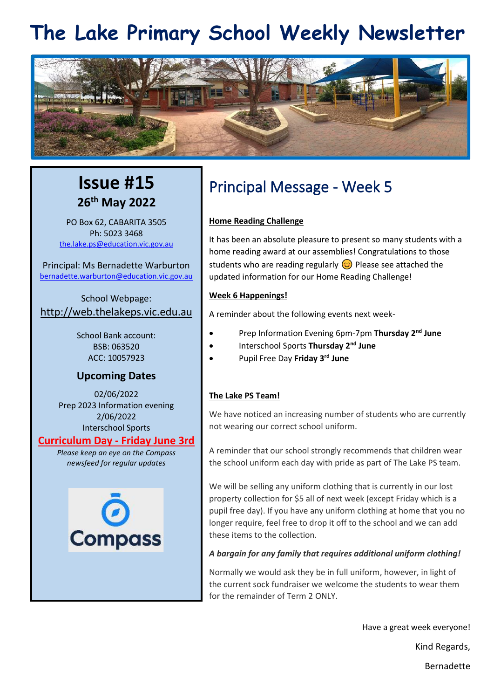## **The Lake Primary School Weekly Newsletter**



## **Issue #15 26th May 2022**

PO Box 62, CABARITA 3505 Ph: 5023 3468 [the.lake.ps@education.vic.gov.au](mailto:the.lake.ps@education.vic.gov.au)

Principal: Ms Bernadette Warburton [bernadette.warburton@education.vic.gov.au](mailto:bernadette.warburton@education.vic.gov.au)

School Webpage: [http://web.thelakeps.vic.edu.au](http://web.thelakeps.vic.edu.au/)

> School Bank account: BSB: 063520 ACC: 10057923

## **Upcoming Dates**

02/06/2022 Prep 2023 Information evening 2/06/2022 Interschool Sports

## **Curriculum Day - Friday June 3rd**

*Please keep an eye on the Compass newsfeed for regular updates*



## Principal Message - Week 5

## **Home Reading Challenge**

It has been an absolute pleasure to present so many students with a home reading award at our assemblies! Congratulations to those students who are reading regularly  $\odot$  Please see attached the updated information for our Home Reading Challenge!

## **Week 6 Happenings!**

A reminder about the following events next week-

- Prep Information Evening 6pm-7pm **Thursday 2nd June**
- Interschool Sports **Thursday 2nd June**
- Pupil Free Day **Friday 3rd June**

## **The Lake PS Team!**

We have noticed an increasing number of students who are currently not wearing our correct school uniform.

A reminder that our school strongly recommends that children wear the school uniform each day with pride as part of The Lake PS team.

We will be selling any uniform clothing that is currently in our lost property collection for \$5 all of next week (except Friday which is a pupil free day). If you have any uniform clothing at home that you no longer require, feel free to drop it off to the school and we can add these items to the collection.

## *A bargain for any family that requires additional uniform clothing!*

Normally we would ask they be in full uniform, however, in light of the current sock fundraiser we welcome the students to wear them for the remainder of Term 2 ONLY.

Have a great week everyone!

Kind Regards,

Bernadette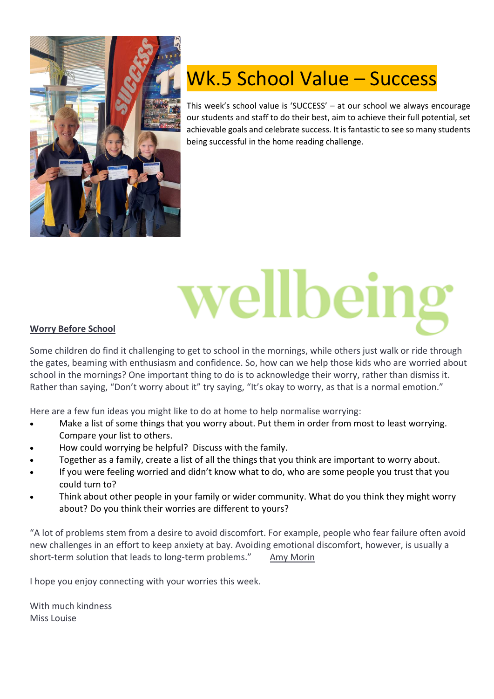

## Wk.5 School Value – Success

This week's school value is 'SUCCESS' – at our school we always encourage our students and staff to do their best, aim to achieve their full potential, set achievable goals and celebrate success. It is fantastic to see so many students being successful in the home reading challenge.

## vellbein

## **Worry Before School**

Some children do find it challenging to get to school in the mornings, while others just walk or ride through the gates, beaming with enthusiasm and confidence. So, how can we help those kids who are worried about school in the mornings? One important thing to do is to acknowledge their worry, rather than dismiss it. Rather than saying, "Don't worry about it" try saying, "It's okay to worry, as that is a normal emotion."

Here are a few fun ideas you might like to do at home to help normalise worrying:

- Make a list of some things that you worry about. Put them in order from most to least worrying. Compare your list to others.
- How could worrying be helpful? Discuss with the family.
- Together as a family, create a list of all the things that you think are important to worry about.
- If you were feeling worried and didn't know what to do, who are some people you trust that you could turn to?
- Think about other people in your family or wider community. What do you think they might worry about? Do you think their worries are different to yours?

"A lot of problems stem from a desire to avoid discomfort. For example, people who fear failure often avoid new challenges in an effort to keep anxiety at bay. Avoiding emotional discomfort, however, is usually a short-term solution that leads to long-term problems." [Amy Morin](https://www.brainyquote.com/authors/amy-morin-quotes)

I hope you enjoy connecting with your worries this week.

With much kindness Miss Louise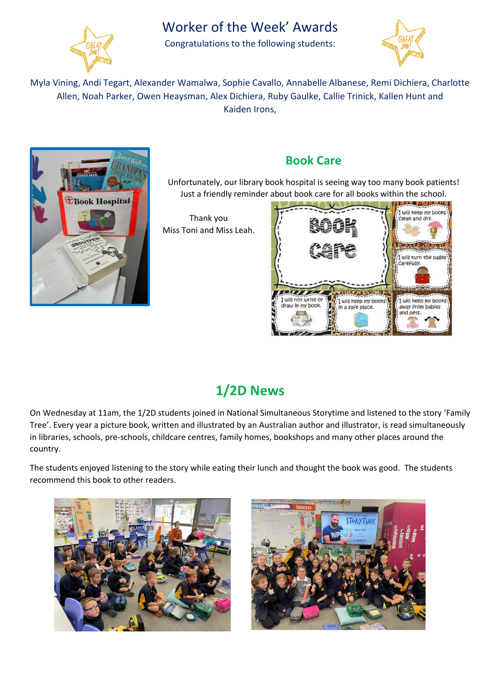

## Worker of the Week' Awards

Congratulations to the following students:



Myla Vining, Andi Tegart, Alexander Wamalwa, Sophie Cavallo, Annabelle Albanese, Remi Dichiera, Charlotte Allen, Noah Parker, Owen Heaysman, Alex Dichiera, Ruby Gaulke, Callie Trinick, Kallen Hunt and Kaiden Irons,



## **Book Care**

Unfortunately, our library book hospital is seeing way too many book patients! Just a friendly reminder about book care for all books within the school.

Thank you Miss Toni and Miss Leah.



## **1/2D News**

On Wednesday at 11am, the 1/2D students joined in National Simultaneous Storytime and listened to the story 'Family Tree'. Every year a picture book, written and illustrated by an Australian author and illustrator, is read simultaneously in libraries, schools, pre-schools, childcare centres, family homes, bookshops and many other places around the country.

The students enjoyed listening to the story while eating their lunch and thought the book was good. The students recommend this book to other readers.